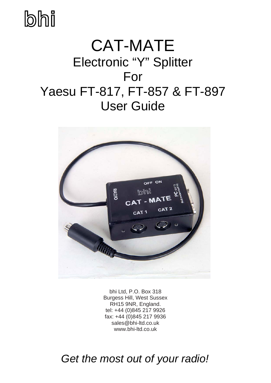# **bhi**

## CAT-MATE Electronic "Y" Splitter For Yaesu FT-817, FT-857 & FT-897 User Guide



bhi Ltd, P.O. Box 318 Burgess Hill, West Sussex RH15 9NR, England. tel: +44 (0)845 217 9926 fax: +44 (0)845 217 9936 sales@bhi-ltd.co.uk www.bhi-ltd.co.uk

## *Get the most out of your radio!*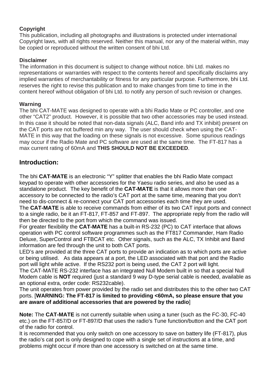#### **Copyright**

This publication, including all photographs and illustrations is protected under international Copyright laws, with all rights reserved. Neither this manual, nor any of the material within, may be copied or reproduced without the written consent of bhi Ltd.

#### **Disclaimer**

The information in this document is subject to change without notice. bhi Ltd. makes no representations or warranties with respect to the contents hereof and specifically disclaims any implied warranties of merchantability or fitness for any particular purpose. Furthermore, bhi Ltd. reserves the right to revise this publication and to make changes from time to time in the content hereof without obligation of bhi Ltd. to notify any person of such revision or changes.

#### **Warning**

The bhi CAT-MATE was designed to operate with a bhi Radio Mate or PC controller, and one other "CAT2" product. However, it is possible that two other accessories may be used instead. In this case it should be noted that non-data signals (ALC, Band info and TX inhibit) present on the CAT ports are not buffered min any way. The user should check when using the CAT-MATE in this way that the loading on these signals is not excessive. Some spurious readings may occur if the Radio Mate and PC software are used at the same time. The FT-817 has a max current rating of 60mA and **THIS SHOULD NOT BE EXCEEDED**.

#### **Introduction:**

The bhi **CAT-MATE** is an electronic "Y" splitter that enables the bhi Radio Mate compact keypad to operate with other accessories for the Yaesu radio series, and also be used as a standalone product. The key benefit of the **CAT-MATE** is that it allows more than one accessory to be connected to the radio's CAT port at the same time, meaning that you don't need to dis-connect & re-connect your CAT port accessories each time they are used. The **CAT-MATE** is able to receive commands from either of its two CAT input ports and connect to a single radio, be it an FT-817, FT-857 and FT-897. The appropriate reply from the radio will then be directed to the port from which the command was issued.

For greater flexibility the **CAT-MATE** has a built-in RS-232 (PC) to CAT interface that allows operation with PC control software programmes such as the FT817 Commander, Ham Radio Deluxe, SuperControl and FTBCAT etc. Other signals, such as the ALC, TX Inhibit and Band information are fed through the unit to both CAT ports.

LED's are provided at the three CAT ports to provide an indication as to which ports are active or being utilised. As data appears at a port, the LED associated with that port and the Radio port will light while active. If the RS232 port is being used, the CAT 2 port will light.

The CAT-MATE RS-232 interface has an integrated Null Modem built in so that a special Null Modem cable is **NOT** required (just a standard 9 way D-type serial cable is needed, available as an optional extra, order code: RS232cable).

The unit operates from power provided by the radio set and distributes this to the other two CAT ports. [**WARNING: The FT-817 is limited to providing <60mA, so please ensure that you are aware of additional accessories that are powered by the radio**]

**Note:** The **CAT-MATE** is not currently suitable when using a tuner (such as the FC-30, FC-40 etc.) on the FT-857/D or FT-897/D that uses the radio's Tune function/button and the CAT port of the radio for control.

It is recommended that you only switch on one accessory to save on battery life (FT-817), plus the radio's cat port is only designed to cope with a single set of instructions at a time, and problems might occur if more than one accessory is switched on at the same time.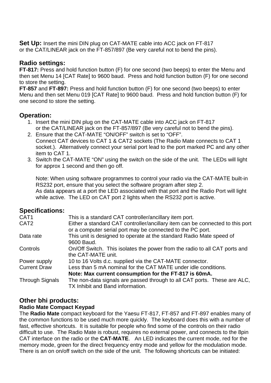**Set Up:** Insert the mini DIN plug on CAT-MATE cable into ACC jack on FT-817 or the CAT/LINEAR jack on the FT-857/897 (Be very careful not to bend the pins).

#### **Radio settings:**

**FT-817:** Press and hold function button (F) for one second (two beeps) to enter the Menu and then set Menu 14 [CAT Rate] to 9600 baud. Press and hold function button (F) for one second to store the setting.

**FT-857** and **FT-897:** Press and hold function button (F) for one second (two beeps) to enter Menu and then set Menu 019 [CAT Rate] to 9600 baud. Press and hold function button (F) for one second to store the setting.

#### **Operation:**

- 1. Insert the mini DIN plug on the CAT-MATE cable into ACC jack on FT-817 or the CAT/LINEAR jack on the FT-857/897 (Be very careful not to bend the pins).
- 2. Ensure that the CAT-MATE "ON/OFF" switch is set to "OFF". Connect CAT devices to CAT 1 & CAT2 sockets (The Radio Mate connects to CAT 1 socket.). Alternatively connect your serial port lead to the port marked PC and any other item to CAT 1.
- 3. Switch the CAT-MATE "ON" using the switch on the side of the unit. The LEDs will light for approx 1 second and then go off.

Note: When using software programmes to control your radio via the CAT-MATE built-in RS232 port, ensure that you select the software program after step 2. As data appears at a port the LED associated with that port and the Radio Port will light while active. The LED on CAT port 2 lights when the RS232 port is active.

#### **Specifications:**

| CAT1                   | This is a standard CAT controller/ancillary item port.                                                                                      |
|------------------------|---------------------------------------------------------------------------------------------------------------------------------------------|
| CAT <sub>2</sub>       | Either a standard CAT controller/ancillary item can be connected to this port<br>or a computer serial port may be connected to the PC port. |
| Data rate              | This unit is designed to operate at the standard Radio Mate speed of<br>9600 Baud.                                                          |
| Controls               | On/Off Switch. This isolates the power from the radio to all CAT ports and<br>the CAT-MATE unit.                                            |
| Power supply           | 10 to 16 Volts d.c. supplied via the CAT-MATE connector.                                                                                    |
| <b>Current Draw</b>    | Less than 5 mA nominal for the CAT MATE under idle conditions.                                                                              |
|                        | Note: Max current consumption for the FT-817 is 60mA.                                                                                       |
| <b>Through Signals</b> | The non-data signals are passed through to all CAT ports. These are ALC,                                                                    |
|                        | TX Inhibit and Band information.                                                                                                            |

#### **Other bhi products:**

#### **Radio Mate Compact Keypad**

The **Radio Mate** compact keyboard for the Yaesu FT-817, FT-857 and FT-897 enables many of the common functions to be used much more quickly. The keyboard does this with a number of fast, effective shortcuts. It is suitable for people who find some of the controls on their radio difficult to use. The Radio Mate is robust, requires no external power, and connects to the 8pin CAT interface on the radio or the **CAT-MATE**. An LED indicates the current mode, red for the memory mode, green for the direct frequency entry mode and yellow for the modulation mode. There is an on on/off switch on the side of the unit. The following shortcuts can be initiated: